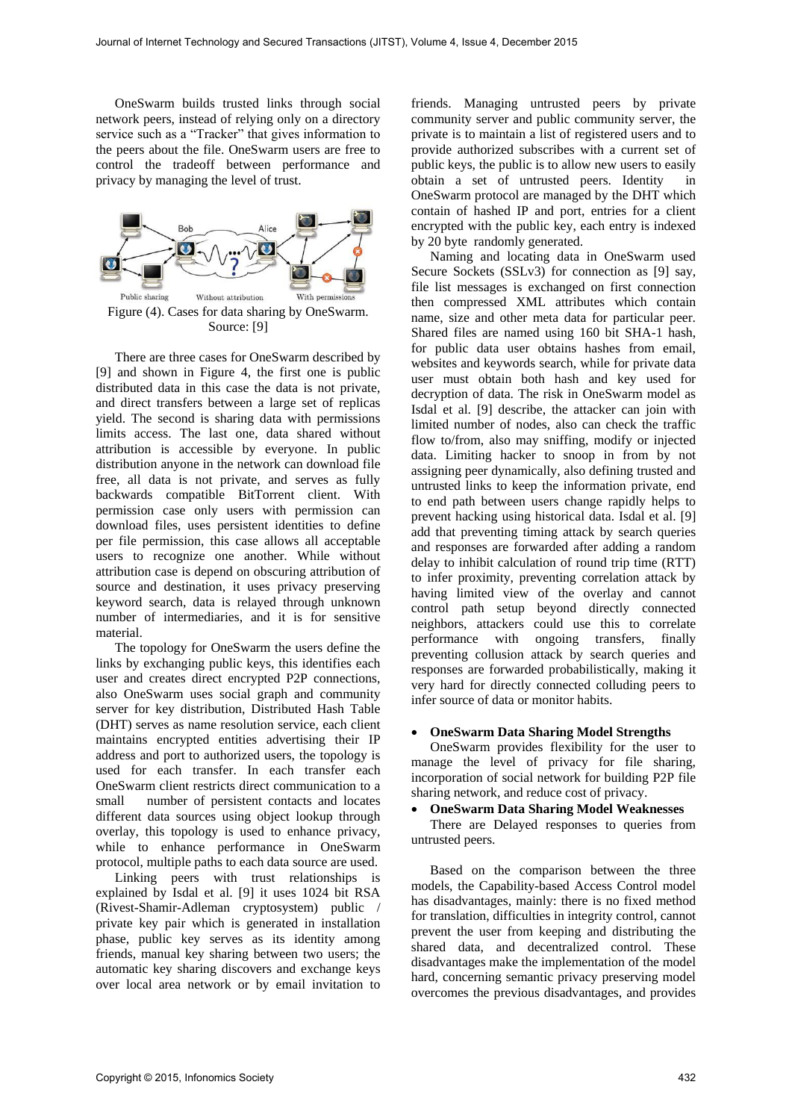OneSwarm builds trusted links through social network peers, instead of relying only on a directory service such as a "Tracker" that gives information to the peers about the file. OneSwarm users are free to control the tradeoff between performance and privacy by managing the level of trust.



Figure (4). Cases for data sharing by OneSwarm. Source: [9]

There are three cases for OneSwarm described by [9] and shown in Figure 4, the first one is public distributed data in this case the data is not private, and direct transfers between a large set of replicas yield. The second is sharing data with permissions limits access. The last one, data shared without attribution is accessible by everyone. In public distribution anyone in the network can download file free, all data is not private, and serves as fully backwards compatible BitTorrent client. With permission case only users with permission can download files, uses persistent identities to define per file permission, this case allows all acceptable users to recognize one another. While without attribution case is depend on obscuring attribution of source and destination, it uses privacy preserving keyword search, data is relayed through unknown number of intermediaries, and it is for sensitive material.

The topology for OneSwarm the users define the links by exchanging public keys, this identifies each user and creates direct encrypted P2P connections, also OneSwarm uses social graph and community server for key distribution, Distributed Hash Table (DHT) serves as name resolution service, each client maintains encrypted entities advertising their IP address and port to authorized users, the topology is used for each transfer. In each transfer each OneSwarm client restricts direct communication to a small number of persistent contacts and locates different data sources using object lookup through overlay, this topology is used to enhance privacy, while to enhance performance in OneSwarm protocol, multiple paths to each data source are used.

Linking peers with trust relationships is explained by Isdal et al. [9] it uses 1024 bit RSA (Rivest-Shamir-Adleman cryptosystem) public / private key pair which is generated in installation phase, public key serves as its identity among friends, manual key sharing between two users; the automatic key sharing discovers and exchange keys over local area network or by email invitation to

friends. Managing untrusted peers by private community server and public community server, the private is to maintain a list of registered users and to provide authorized subscribes with a current set of public keys, the public is to allow new users to easily obtain a set of untrusted peers. Identity in OneSwarm protocol are managed by the DHT which contain of hashed IP and port, entries for a client encrypted with the public key, each entry is indexed by 20 byte randomly generated.

Naming and locating data in OneSwarm used Secure Sockets (SSLv3) for connection as [9] say, file list messages is exchanged on first connection then compressed XML attributes which contain name, size and other meta data for particular peer. Shared files are named using 160 bit SHA-1 hash, for public data user obtains hashes from email, websites and keywords search, while for private data user must obtain both hash and key used for decryption of data. The risk in OneSwarm model as Isdal et al. [9] describe, the attacker can join with limited number of nodes, also can check the traffic flow to/from, also may sniffing, modify or injected data. Limiting hacker to snoop in from by not assigning peer dynamically, also defining trusted and untrusted links to keep the information private, end to end path between users change rapidly helps to prevent hacking using historical data. Isdal et al. [9] add that preventing timing attack by search queries and responses are forwarded after adding a random delay to inhibit calculation of round trip time (RTT) to infer proximity, preventing correlation attack by having limited view of the overlay and cannot control path setup beyond directly connected neighbors, attackers could use this to correlate performance with ongoing transfers, finally preventing collusion attack by search queries and responses are forwarded probabilistically, making it very hard for directly connected colluding peers to infer source of data or monitor habits.

#### **OneSwarm Data Sharing Model Strengths**

OneSwarm provides flexibility for the user to manage the level of privacy for file sharing, incorporation of social network for building P2P file sharing network, and reduce cost of privacy.

## **OneSwarm Data Sharing Model Weaknesses**

There are Delayed responses to queries from untrusted peers.

Based on the comparison between the three models, the Capability-based Access Control model has disadvantages, mainly: there is no fixed method for translation, difficulties in integrity control, cannot prevent the user from keeping and distributing the shared data, and decentralized control. These disadvantages make the implementation of the model hard, concerning semantic privacy preserving model overcomes the previous disadvantages, and provides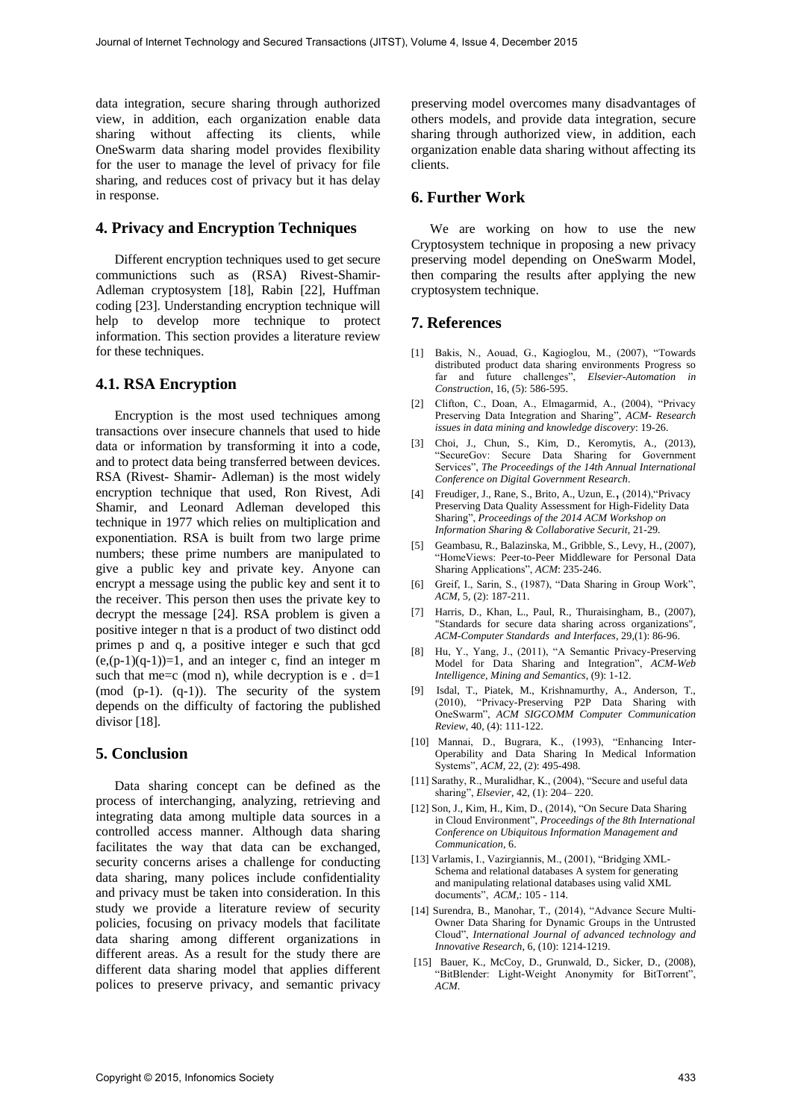data integration, secure sharing through authorized view, in addition, each organization enable data sharing without affecting its clients, while OneSwarm data sharing model provides flexibility for the user to manage the level of privacy for file sharing, and reduces cost of privacy but it has delay in response.

## **4. Privacy and Encryption Techniques**

Different encryption techniques used to get secure communictions such as (RSA) Rivest-Shamir-Adleman cryptosystem [18], Rabin [22], Huffman coding [23]. Understanding encryption technique will help to develop more technique to protect information. This section provides a literature review for these techniques.

## **4.1. RSA Encryption**

Encryption is the most used techniques among transactions over insecure channels that used to hide data or information by transforming it into a code, and to protect data being transferred between devices. RSA (Rivest- Shamir- Adleman) is the most widely encryption technique that used, Ron Rivest, Adi Shamir, and Leonard Adleman developed this technique in 1977 which relies on multiplication and exponentiation. RSA is built from two large prime numbers; these prime numbers are manipulated to give a public key and private key. Anyone can encrypt a message using the public key and sent it to the receiver. This person then uses the private key to decrypt the message [24]. RSA problem is given a positive integer n that is a product of two distinct odd primes p and q, a positive integer e such that gcd  $(e,(p-1)(q-1))=1$ , and an integer c, find an integer m such that me=c (mod n), while decryption is  $e$ . d=1 (mod (p-1). (q-1)). The security of the system depends on the difficulty of factoring the published divisor [18].

#### **5. Conclusion**

Data sharing concept can be defined as the process of interchanging, analyzing, retrieving and integrating data among multiple data sources in a controlled access manner. Although data sharing facilitates the way that data can be exchanged, security concerns arises a challenge for conducting data sharing, many polices include confidentiality and privacy must be taken into consideration. In this study we provide a literature review of security policies, focusing on privacy models that facilitate data sharing among different organizations in different areas. As a result for the study there are different data sharing model that applies different polices to preserve privacy, and semantic privacy

preserving model overcomes many disadvantages of others models, and provide data integration, secure sharing through authorized view, in addition, each organization enable data sharing without affecting its clients.

# **6. Further Work**

We are working on how to use the new Cryptosystem technique in proposing a new privacy preserving model depending on OneSwarm Model, then comparing the results after applying the new cryptosystem technique.

#### **7. References**

- [1] Bakis, N., Aouad, G., Kagioglou, M., (2007), "Towards distributed product data sharing environments Progress so far and future challenges", *Elsevier-Automation in Construction*, 16, (5): 586-595.
- [2] Clifton, C., Doan, A., Elmagarmid, A., (2004), "Privacy Preserving Data Integration and Sharing", *ACM- Research issues in data mining and knowledge discovery*: 19-26.
- [3] Choi, J., Chun, S., Kim, D., Keromytis, A., (2013), "SecureGov: Secure Data Sharing for Government Services", *The Proceedings of the 14th Annual International Conference on Digital Government Research*.
- [4] Freudiger, J., Rane, S., Brito, A., Uzun, E., (2014),"Privacy Preserving Data Quality Assessment for High-Fidelity Data Sharing", *Proceedings of the 2014 ACM Workshop on Information Sharing & Collaborative Securit,* 21-29*.*
- [5] Geambasu, R., Balazinska, M., Gribble, S., Levy, H., (2007), "HomeViews: Peer-to-Peer Middleware for Personal Data Sharing Applications", *ACM*: 235-246.
- [6] Greif, I., Sarin, S., (1987), "Data Sharing in Group Work", *ACM*, 5, (2): 187-211.
- [7] Harris, D., Khan, L., Paul, R., Thuraisingham, B., (2007), "Standards for secure data sharing across organizations", *ACM-Computer Standards and Interfaces*, 29,(1): 86-96.
- [8] Hu, Y., Yang, J., (2011), "A Semantic Privacy-Preserving Model for Data Sharing and Integration", *ACM-Web Intelligence, Mining and Semantics*, (9): 1-12.
- [9] Isdal, T., Piatek, M., Krishnamurthy, A., Anderson, T., (2010), "Privacy-Preserving P2P Data Sharing with OneSwarm", *ACM SIGCOMM Computer Communication Review*, 40, (4): 111-122.
- [10] Mannai, D., Bugrara, K., (1993), "Enhancing Inter-Operability and Data Sharing In Medical Information Systems", *ACM*, 22, (2): 495-498.
- [11] Sarathy, R., Muralidhar, K., (2004), "Secure and useful data sharing", *Elsevier*, 42, (1): 204– 220.
- [12] Son, J., Kim, H., Kim, D., (2014), "On Secure Data Sharing in Cloud Environment", *Proceedings of the 8th International Conference on Ubiquitous Information Management and Communication*, 6.
- [13] Varlamis, I., Vazirgiannis, M., (2001), "Bridging XML-Schema and relational databases A system for generating and manipulating relational databases using valid XML documents", *ACM*,: 105 - 114.
- [14] Surendra, B., Manohar, T., (2014), "Advance Secure Multi-Owner Data Sharing for Dynamic Groups in the Untrusted Cloud", *International Journal of advanced technology and Innovative Research*, 6, (10): 1214-1219.
- [15] Bauer, K., McCoy, D., Grunwald, D., Sicker, D., (2008), "BitBlender: Light-Weight Anonymity for BitTorrent", *ACM*.